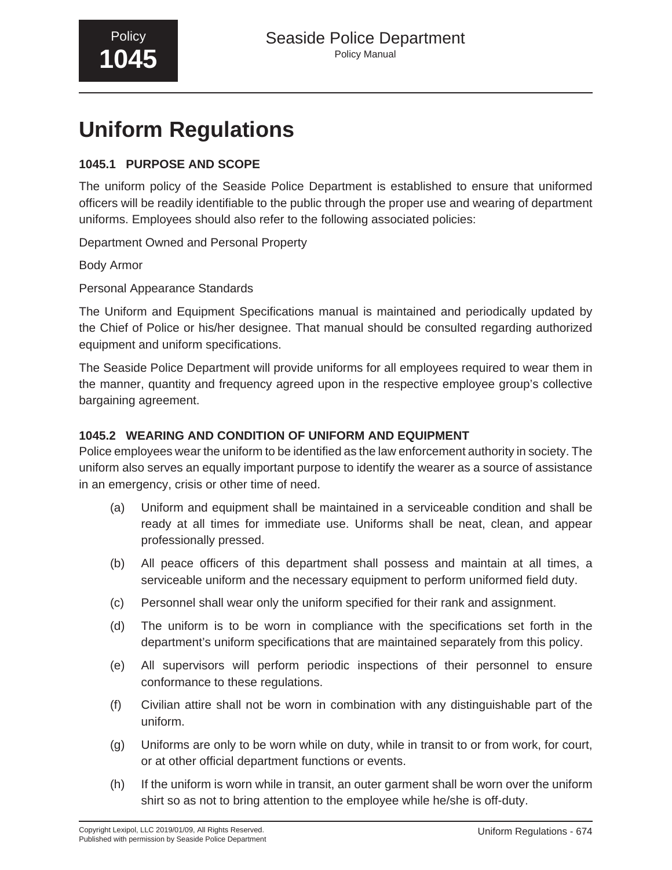# **Uniform Regulations**

## **1045.1 PURPOSE AND SCOPE**

The uniform policy of the Seaside Police Department is established to ensure that uniformed officers will be readily identifiable to the public through the proper use and wearing of department uniforms. Employees should also refer to the following associated policies:

Department Owned and Personal Property

Body Armor

Personal Appearance Standards

The Uniform and Equipment Specifications manual is maintained and periodically updated by the Chief of Police or his/her designee. That manual should be consulted regarding authorized equipment and uniform specifications.

The Seaside Police Department will provide uniforms for all employees required to wear them in the manner, quantity and frequency agreed upon in the respective employee group's collective bargaining agreement.

## **1045.2 WEARING AND CONDITION OF UNIFORM AND EQUIPMENT**

Police employees wear the uniform to be identified as the law enforcement authority in society. The uniform also serves an equally important purpose to identify the wearer as a source of assistance in an emergency, crisis or other time of need.

- (a) Uniform and equipment shall be maintained in a serviceable condition and shall be ready at all times for immediate use. Uniforms shall be neat, clean, and appear professionally pressed.
- (b) All peace officers of this department shall possess and maintain at all times, a serviceable uniform and the necessary equipment to perform uniformed field duty.
- (c) Personnel shall wear only the uniform specified for their rank and assignment.
- (d) The uniform is to be worn in compliance with the specifications set forth in the department's uniform specifications that are maintained separately from this policy.
- (e) All supervisors will perform periodic inspections of their personnel to ensure conformance to these regulations.
- (f) Civilian attire shall not be worn in combination with any distinguishable part of the uniform.
- (g) Uniforms are only to be worn while on duty, while in transit to or from work, for court, or at other official department functions or events.
- (h) If the uniform is worn while in transit, an outer garment shall be worn over the uniform shirt so as not to bring attention to the employee while he/she is off-duty.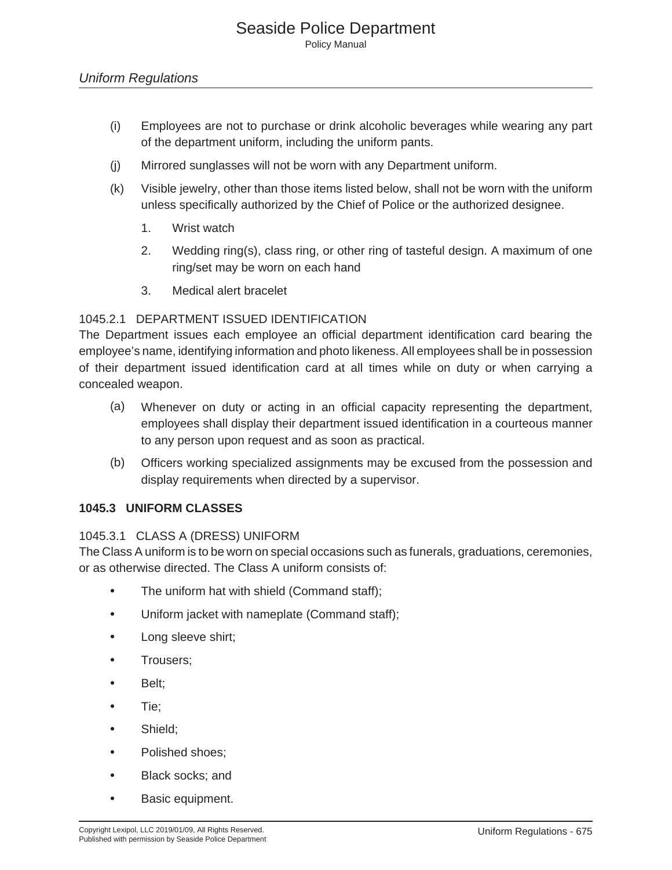- (i) Employees are not to purchase or drink alcoholic beverages while wearing any part of the department uniform, including the uniform pants.
- (j) Mirrored sunglasses will not be worn with any Department uniform.
- (k) Visible jewelry, other than those items listed below, shall not be worn with the uniform unless specifically authorized by the Chief of Police or the authorized designee.
	- 1. Wrist watch
	- 2. Wedding ring(s), class ring, or other ring of tasteful design. A maximum of one ring/set may be worn on each hand
	- 3. Medical alert bracelet

## 1045.2.1 DEPARTMENT ISSUED IDENTIFICATION

The Department issues each employee an official department identification card bearing the employee's name, identifying information and photo likeness. All employees shall be in possession of their department issued identification card at all times while on duty or when carrying a concealed weapon.

- (a) Whenever on duty or acting in an official capacity representing the department, employees shall display their department issued identification in a courteous manner to any person upon request and as soon as practical.
- (b) Officers working specialized assignments may be excused from the possession and display requirements when directed by a supervisor.

#### **1045.3 UNIFORM CLASSES**

#### 1045.3.1 CLASS A (DRESS) UNIFORM

The Class A uniform is to be worn on special occasions such as funerals, graduations, ceremonies, or as otherwise directed. The Class A uniform consists of:

- The uniform hat with shield (Command staff);
- Uniform jacket with nameplate (Command staff);
- Long sleeve shirt;
- Trousers;
- Belt;
- Tie;
- Shield;
- Polished shoes;
- Black socks; and
- Basic equipment.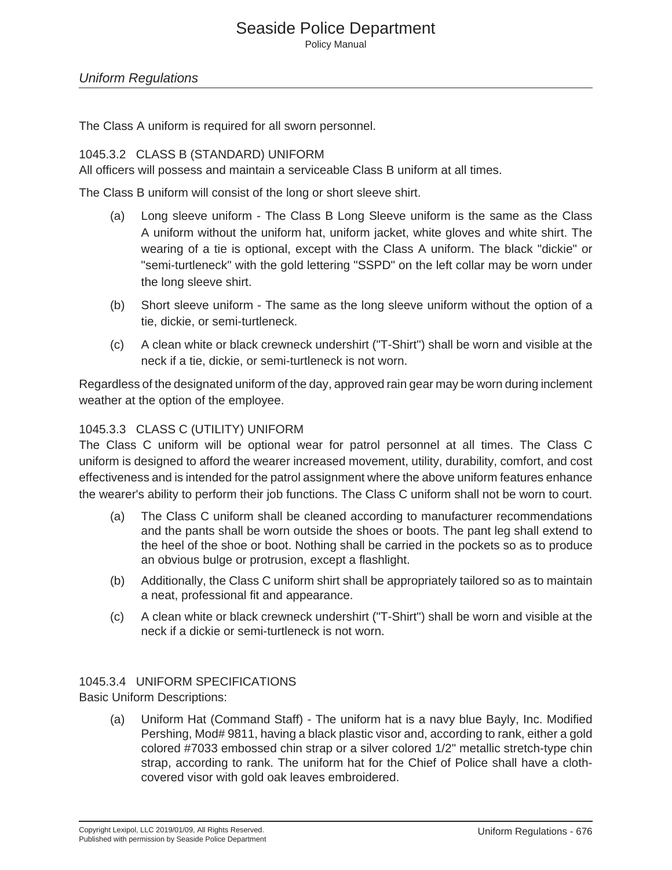## Seaside Police Department

Policy Manual

#### *Uniform Regulations*

The Class A uniform is required for all sworn personnel.

#### 1045.3.2 CLASS B (STANDARD) UNIFORM

All officers will possess and maintain a serviceable Class B uniform at all times.

The Class B uniform will consist of the long or short sleeve shirt.

- (a) Long sleeve uniform The Class B Long Sleeve uniform is the same as the Class A uniform without the uniform hat, uniform jacket, white gloves and white shirt. The wearing of a tie is optional, except with the Class A uniform. The black "dickie" or "semi-turtleneck" with the gold lettering "SSPD" on the left collar may be worn under the long sleeve shirt.
- (b) Short sleeve uniform The same as the long sleeve uniform without the option of a tie, dickie, or semi-turtleneck.
- (c) A clean white or black crewneck undershirt ("T-Shirt") shall be worn and visible at the neck if a tie, dickie, or semi-turtleneck is not worn.

Regardless of the designated uniform of the day, approved rain gear may be worn during inclement weather at the option of the employee.

#### 1045.3.3 CLASS C (UTILITY) UNIFORM

The Class C uniform will be optional wear for patrol personnel at all times. The Class C uniform is designed to afford the wearer increased movement, utility, durability, comfort, and cost effectiveness and is intended for the patrol assignment where the above uniform features enhance the wearer's ability to perform their job functions. The Class C uniform shall not be worn to court.

- (a) The Class C uniform shall be cleaned according to manufacturer recommendations and the pants shall be worn outside the shoes or boots. The pant leg shall extend to the heel of the shoe or boot. Nothing shall be carried in the pockets so as to produce an obvious bulge or protrusion, except a flashlight.
- (b) Additionally, the Class C uniform shirt shall be appropriately tailored so as to maintain a neat, professional fit and appearance.
- (c) A clean white or black crewneck undershirt ("T-Shirt") shall be worn and visible at the neck if a dickie or semi-turtleneck is not worn.

#### 1045.3.4 UNIFORM SPECIFICATIONS

Basic Uniform Descriptions:

(a) Uniform Hat (Command Staff) - The uniform hat is a navy blue Bayly, Inc. Modified Pershing, Mod# 9811, having a black plastic visor and, according to rank, either a gold colored #7033 embossed chin strap or a silver colored 1/2" metallic stretch-type chin strap, according to rank. The uniform hat for the Chief of Police shall have a clothcovered visor with gold oak leaves embroidered.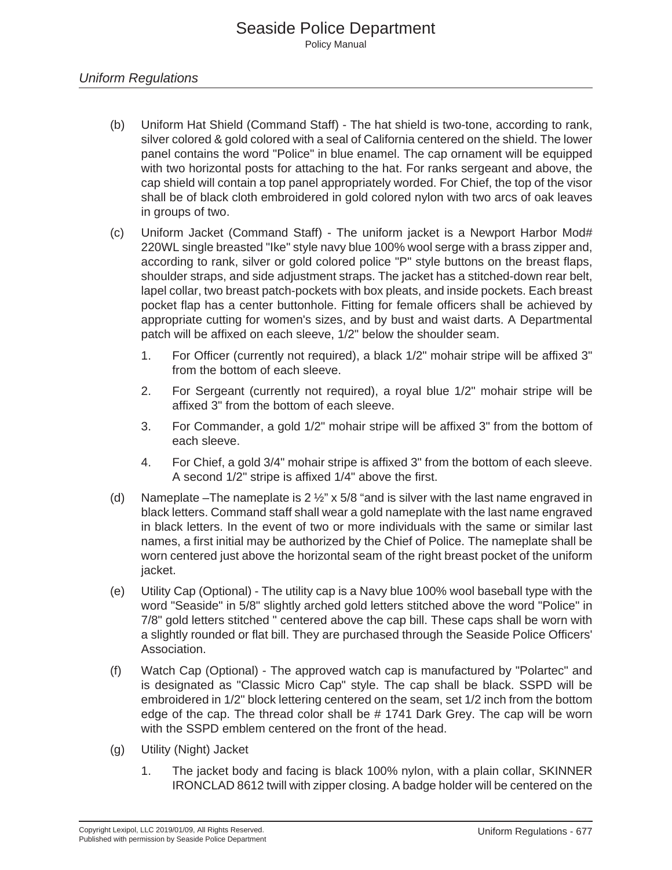- (b) Uniform Hat Shield (Command Staff) The hat shield is two-tone, according to rank, silver colored & gold colored with a seal of California centered on the shield. The lower panel contains the word "Police" in blue enamel. The cap ornament will be equipped with two horizontal posts for attaching to the hat. For ranks sergeant and above, the cap shield will contain a top panel appropriately worded. For Chief, the top of the visor shall be of black cloth embroidered in gold colored nylon with two arcs of oak leaves in groups of two.
- (c) Uniform Jacket (Command Staff) The uniform jacket is a Newport Harbor Mod# 220WL single breasted "Ike" style navy blue 100% wool serge with a brass zipper and, according to rank, silver or gold colored police "P" style buttons on the breast flaps, shoulder straps, and side adjustment straps. The jacket has a stitched-down rear belt, lapel collar, two breast patch-pockets with box pleats, and inside pockets. Each breast pocket flap has a center buttonhole. Fitting for female officers shall be achieved by appropriate cutting for women's sizes, and by bust and waist darts. A Departmental patch will be affixed on each sleeve, 1/2" below the shoulder seam.
	- 1. For Officer (currently not required), a black 1/2" mohair stripe will be affixed 3" from the bottom of each sleeve.
	- 2. For Sergeant (currently not required), a royal blue 1/2" mohair stripe will be affixed 3" from the bottom of each sleeve.
	- 3. For Commander, a gold 1/2" mohair stripe will be affixed 3" from the bottom of each sleeve.
	- 4. For Chief, a gold 3/4" mohair stripe is affixed 3" from the bottom of each sleeve. A second 1/2" stripe is affixed 1/4" above the first.
- (d) Nameplate –The nameplate is  $2\frac{1}{2}$ " x  $5/8$  "and is silver with the last name engraved in black letters. Command staff shall wear a gold nameplate with the last name engraved in black letters. In the event of two or more individuals with the same or similar last names, a first initial may be authorized by the Chief of Police. The nameplate shall be worn centered just above the horizontal seam of the right breast pocket of the uniform jacket.
- (e) Utility Cap (Optional) The utility cap is a Navy blue 100% wool baseball type with the word "Seaside" in 5/8" slightly arched gold letters stitched above the word "Police" in 7/8" gold letters stitched " centered above the cap bill. These caps shall be worn with a slightly rounded or flat bill. They are purchased through the Seaside Police Officers' Association.
- (f) Watch Cap (Optional) The approved watch cap is manufactured by "Polartec" and is designated as "Classic Micro Cap" style. The cap shall be black. SSPD will be embroidered in 1/2" block lettering centered on the seam, set 1/2 inch from the bottom edge of the cap. The thread color shall be # 1741 Dark Grey. The cap will be worn with the SSPD emblem centered on the front of the head.
- (g) Utility (Night) Jacket
	- 1. The jacket body and facing is black 100% nylon, with a plain collar, SKINNER IRONCLAD 8612 twill with zipper closing. A badge holder will be centered on the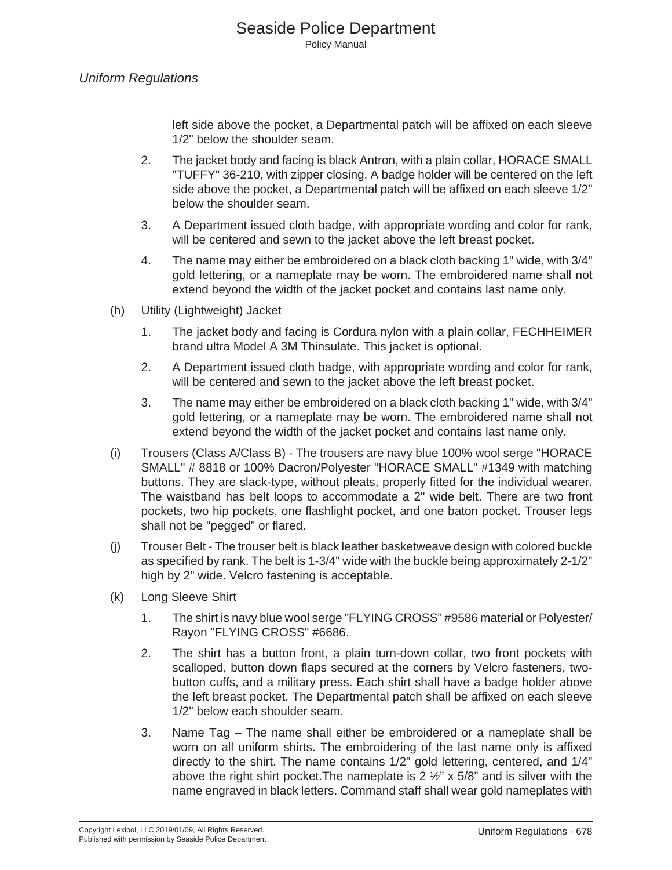left side above the pocket, a Departmental patch will be affixed on each sleeve 1/2" below the shoulder seam.

- 2. The jacket body and facing is black Antron, with a plain collar, HORACE SMALL "TUFFY" 36-210, with zipper closing. A badge holder will be centered on the left side above the pocket, a Departmental patch will be affixed on each sleeve 1/2" below the shoulder seam.
- 3. A Department issued cloth badge, with appropriate wording and color for rank, will be centered and sewn to the jacket above the left breast pocket.
- 4. The name may either be embroidered on a black cloth backing 1" wide, with 3/4" gold lettering, or a nameplate may be worn. The embroidered name shall not extend beyond the width of the jacket pocket and contains last name only.
- (h) Utility (Lightweight) Jacket
	- 1. The jacket body and facing is Cordura nylon with a plain collar, FECHHEIMER brand ultra Model A 3M Thinsulate. This jacket is optional.
	- 2. A Department issued cloth badge, with appropriate wording and color for rank, will be centered and sewn to the jacket above the left breast pocket.
	- 3. The name may either be embroidered on a black cloth backing 1" wide, with 3/4" gold lettering, or a nameplate may be worn. The embroidered name shall not extend beyond the width of the jacket pocket and contains last name only.
- (i) Trousers (Class A/Class B) The trousers are navy blue 100% wool serge "HORACE SMALL" # 8818 or 100% Dacron/Polyester "HORACE SMALL" #1349 with matching buttons. They are slack-type, without pleats, properly fitted for the individual wearer. The waistband has belt loops to accommodate a 2" wide belt. There are two front pockets, two hip pockets, one flashlight pocket, and one baton pocket. Trouser legs shall not be "pegged" or flared.
- (j) Trouser Belt The trouser belt is black leather basketweave design with colored buckle as specified by rank. The belt is 1-3/4" wide with the buckle being approximately 2-1/2" high by 2" wide. Velcro fastening is acceptable.
- (k) Long Sleeve Shirt
	- 1. The shirt is navy blue wool serge "FLYING CROSS" #9586 material or Polyester/ Rayon "FLYING CROSS" #6686.
	- 2. The shirt has a button front, a plain turn-down collar, two front pockets with scalloped, button down flaps secured at the corners by Velcro fasteners, twobutton cuffs, and a military press. Each shirt shall have a badge holder above the left breast pocket. The Departmental patch shall be affixed on each sleeve 1/2" below each shoulder seam.
	- 3. Name Tag The name shall either be embroidered or a nameplate shall be worn on all uniform shirts. The embroidering of the last name only is affixed directly to the shirt. The name contains 1/2" gold lettering, centered, and 1/4" above the right shirt pocket. The nameplate is  $2\frac{1}{2}$  x 5/8" and is silver with the name engraved in black letters. Command staff shall wear gold nameplates with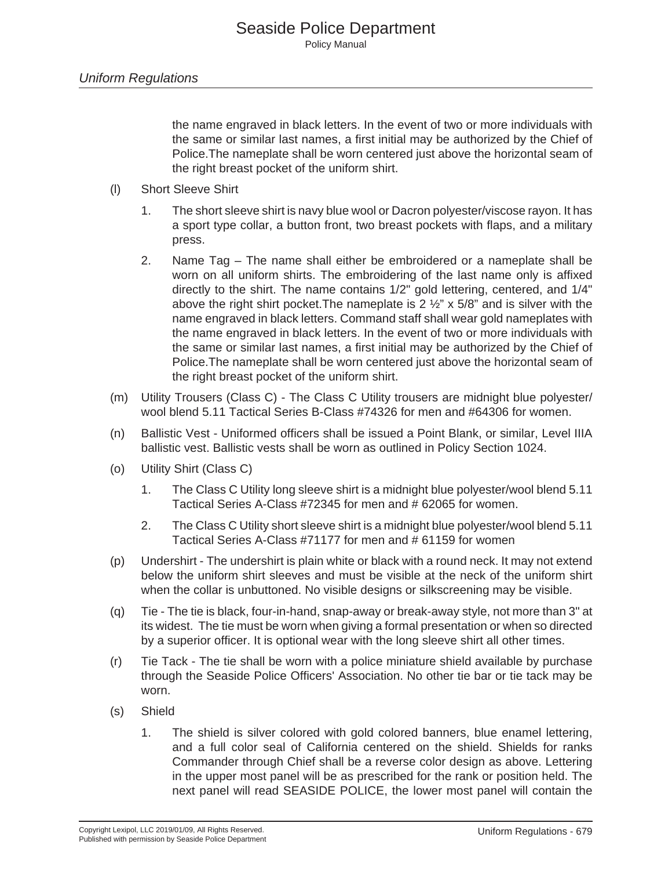the name engraved in black letters. In the event of two or more individuals with the same or similar last names, a first initial may be authorized by the Chief of Police.The nameplate shall be worn centered just above the horizontal seam of the right breast pocket of the uniform shirt.

- (l) Short Sleeve Shirt
	- 1. The short sleeve shirt is navy blue wool or Dacron polyester/viscose rayon. It has a sport type collar, a button front, two breast pockets with flaps, and a military press.
	- 2. Name Tag The name shall either be embroidered or a nameplate shall be worn on all uniform shirts. The embroidering of the last name only is affixed directly to the shirt. The name contains 1/2" gold lettering, centered, and 1/4" above the right shirt pocket. The nameplate is  $2\frac{1}{2}$  x 5/8" and is silver with the name engraved in black letters. Command staff shall wear gold nameplates with the name engraved in black letters. In the event of two or more individuals with the same or similar last names, a first initial may be authorized by the Chief of Police.The nameplate shall be worn centered just above the horizontal seam of the right breast pocket of the uniform shirt.
- (m) Utility Trousers (Class C) The Class C Utility trousers are midnight blue polyester/ wool blend 5.11 Tactical Series B-Class #74326 for men and #64306 for women.
- (n) Ballistic Vest Uniformed officers shall be issued a Point Blank, or similar, Level IIIA ballistic vest. Ballistic vests shall be worn as outlined in Policy Section 1024.
- (o) Utility Shirt (Class C)
	- 1. The Class C Utility long sleeve shirt is a midnight blue polyester/wool blend 5.11 Tactical Series A-Class #72345 for men and # 62065 for women.
	- 2. The Class C Utility short sleeve shirt is a midnight blue polyester/wool blend 5.11 Tactical Series A-Class #71177 for men and # 61159 for women
- (p) Undershirt The undershirt is plain white or black with a round neck. It may not extend below the uniform shirt sleeves and must be visible at the neck of the uniform shirt when the collar is unbuttoned. No visible designs or silkscreening may be visible.
- (q) Tie The tie is black, four-in-hand, snap-away or break-away style, not more than 3" at its widest. The tie must be worn when giving a formal presentation or when so directed by a superior officer. It is optional wear with the long sleeve shirt all other times.
- (r) Tie Tack The tie shall be worn with a police miniature shield available by purchase through the Seaside Police Officers' Association. No other tie bar or tie tack may be worn.
- (s) Shield
	- 1. The shield is silver colored with gold colored banners, blue enamel lettering, and a full color seal of California centered on the shield. Shields for ranks Commander through Chief shall be a reverse color design as above. Lettering in the upper most panel will be as prescribed for the rank or position held. The next panel will read SEASIDE POLICE, the lower most panel will contain the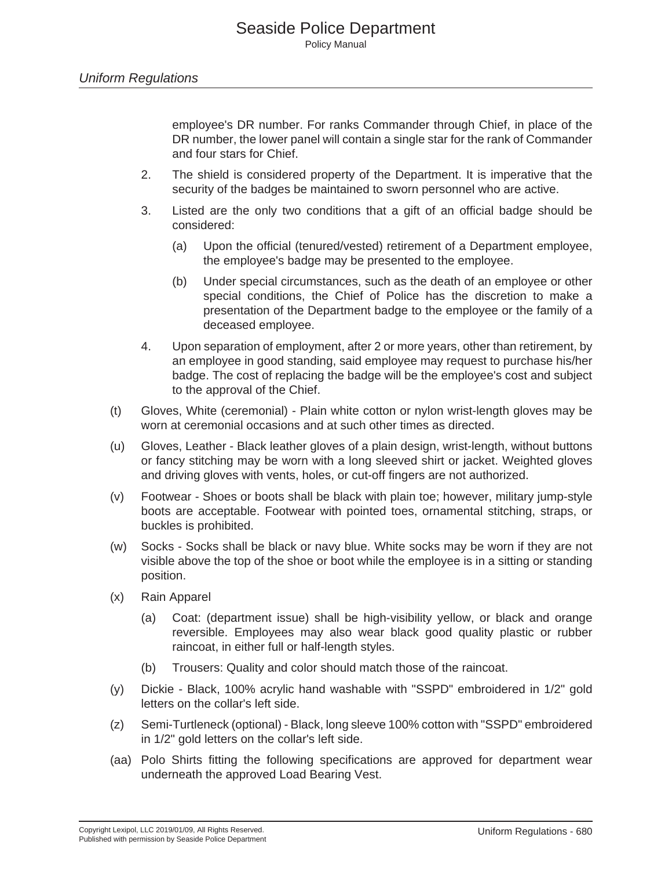employee's DR number. For ranks Commander through Chief, in place of the DR number, the lower panel will contain a single star for the rank of Commander and four stars for Chief.

- 2. The shield is considered property of the Department. It is imperative that the security of the badges be maintained to sworn personnel who are active.
- 3. Listed are the only two conditions that a gift of an official badge should be considered:
	- (a) Upon the official (tenured/vested) retirement of a Department employee, the employee's badge may be presented to the employee.
	- (b) Under special circumstances, such as the death of an employee or other special conditions, the Chief of Police has the discretion to make a presentation of the Department badge to the employee or the family of a deceased employee.
- 4. Upon separation of employment, after 2 or more years, other than retirement, by an employee in good standing, said employee may request to purchase his/her badge. The cost of replacing the badge will be the employee's cost and subject to the approval of the Chief.
- (t) Gloves, White (ceremonial) Plain white cotton or nylon wrist-length gloves may be worn at ceremonial occasions and at such other times as directed.
- (u) Gloves, Leather Black leather gloves of a plain design, wrist-length, without buttons or fancy stitching may be worn with a long sleeved shirt or jacket. Weighted gloves and driving gloves with vents, holes, or cut-off fingers are not authorized.
- (v) Footwear Shoes or boots shall be black with plain toe; however, military jump-style boots are acceptable. Footwear with pointed toes, ornamental stitching, straps, or buckles is prohibited.
- (w) Socks Socks shall be black or navy blue. White socks may be worn if they are not visible above the top of the shoe or boot while the employee is in a sitting or standing position.
- (x) Rain Apparel
	- (a) Coat: (department issue) shall be high-visibility yellow, or black and orange reversible. Employees may also wear black good quality plastic or rubber raincoat, in either full or half-length styles.
	- (b) Trousers: Quality and color should match those of the raincoat.
- (y) Dickie Black, 100% acrylic hand washable with "SSPD" embroidered in 1/2" gold letters on the collar's left side.
- (z) Semi-Turtleneck (optional) Black, long sleeve 100% cotton with "SSPD" embroidered in 1/2" gold letters on the collar's left side.
- (aa) Polo Shirts fitting the following specifications are approved for department wear underneath the approved Load Bearing Vest.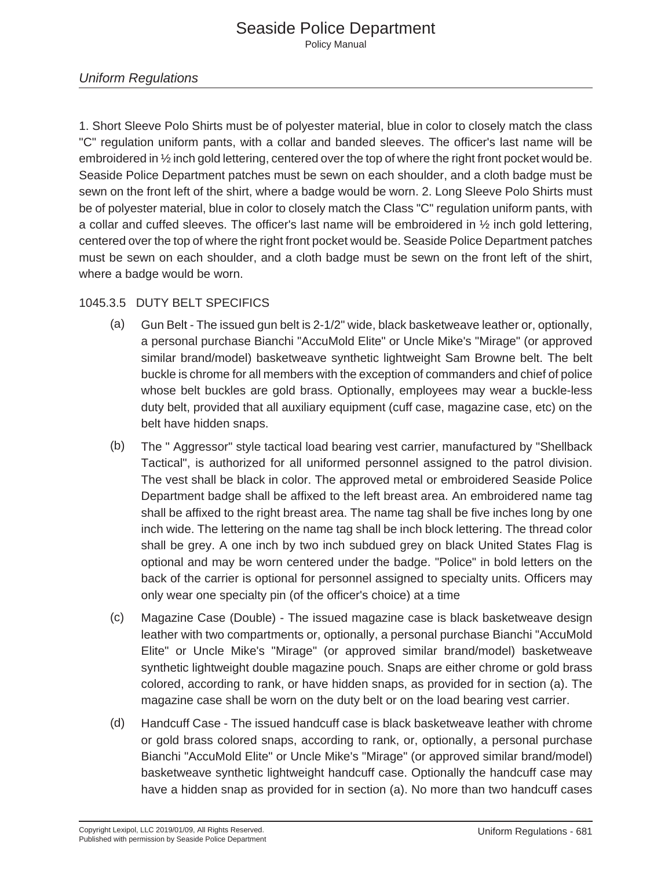## *Uniform Regulations*

1. Short Sleeve Polo Shirts must be of polyester material, blue in color to closely match the class "C" regulation uniform pants, with a collar and banded sleeves. The officer's last name will be embroidered in ½ inch gold lettering, centered over the top of where the right front pocket would be. Seaside Police Department patches must be sewn on each shoulder, and a cloth badge must be sewn on the front left of the shirt, where a badge would be worn. 2. Long Sleeve Polo Shirts must be of polyester material, blue in color to closely match the Class "C" regulation uniform pants, with a collar and cuffed sleeves. The officer's last name will be embroidered in  $\frac{1}{2}$  inch gold lettering, centered over the top of where the right front pocket would be. Seaside Police Department patches must be sewn on each shoulder, and a cloth badge must be sewn on the front left of the shirt, where a badge would be worn.

## 1045.3.5 DUTY BELT SPECIFICS

- (a) Gun Belt The issued gun belt is 2-1/2" wide, black basketweave leather or, optionally, a personal purchase Bianchi "AccuMold Elite" or Uncle Mike's "Mirage" (or approved similar brand/model) basketweave synthetic lightweight Sam Browne belt. The belt buckle is chrome for all members with the exception of commanders and chief of police whose belt buckles are gold brass. Optionally, employees may wear a buckle-less duty belt, provided that all auxiliary equipment (cuff case, magazine case, etc) on the belt have hidden snaps.
- (b) The " Aggressor" style tactical load bearing vest carrier, manufactured by "Shellback Tactical", is authorized for all uniformed personnel assigned to the patrol division. The vest shall be black in color. The approved metal or embroidered Seaside Police Department badge shall be affixed to the left breast area. An embroidered name tag shall be affixed to the right breast area. The name tag shall be five inches long by one inch wide. The lettering on the name tag shall be inch block lettering. The thread color shall be grey. A one inch by two inch subdued grey on black United States Flag is optional and may be worn centered under the badge. "Police" in bold letters on the back of the carrier is optional for personnel assigned to specialty units. Officers may only wear one specialty pin (of the officer's choice) at a time
- (c) Magazine Case (Double) The issued magazine case is black basketweave design leather with two compartments or, optionally, a personal purchase Bianchi "AccuMold Elite" or Uncle Mike's "Mirage" (or approved similar brand/model) basketweave synthetic lightweight double magazine pouch. Snaps are either chrome or gold brass colored, according to rank, or have hidden snaps, as provided for in section (a). The magazine case shall be worn on the duty belt or on the load bearing vest carrier.
- (d) Handcuff Case The issued handcuff case is black basketweave leather with chrome or gold brass colored snaps, according to rank, or, optionally, a personal purchase Bianchi "AccuMold Elite" or Uncle Mike's "Mirage" (or approved similar brand/model) basketweave synthetic lightweight handcuff case. Optionally the handcuff case may have a hidden snap as provided for in section (a). No more than two handcuff cases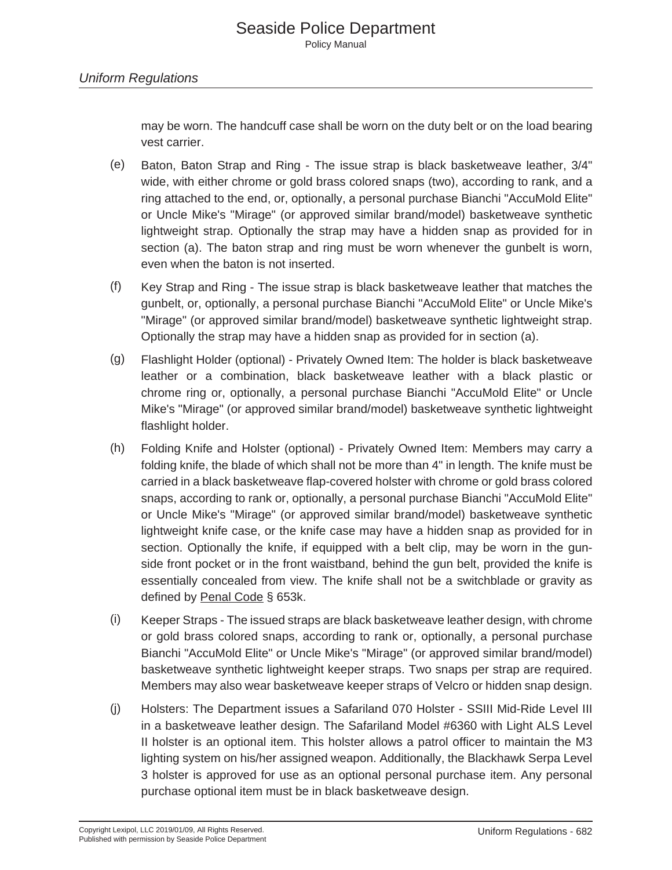may be worn. The handcuff case shall be worn on the duty belt or on the load bearing vest carrier.

- (e) Baton, Baton Strap and Ring The issue strap is black basketweave leather, 3/4" wide, with either chrome or gold brass colored snaps (two), according to rank, and a ring attached to the end, or, optionally, a personal purchase Bianchi "AccuMold Elite" or Uncle Mike's "Mirage" (or approved similar brand/model) basketweave synthetic lightweight strap. Optionally the strap may have a hidden snap as provided for in section (a). The baton strap and ring must be worn whenever the gunbelt is worn, even when the baton is not inserted.
- (f) Key Strap and Ring The issue strap is black basketweave leather that matches the gunbelt, or, optionally, a personal purchase Bianchi "AccuMold Elite" or Uncle Mike's "Mirage" (or approved similar brand/model) basketweave synthetic lightweight strap. Optionally the strap may have a hidden snap as provided for in section (a).
- (g) Flashlight Holder (optional) Privately Owned Item: The holder is black basketweave leather or a combination, black basketweave leather with a black plastic or chrome ring or, optionally, a personal purchase Bianchi "AccuMold Elite" or Uncle Mike's "Mirage" (or approved similar brand/model) basketweave synthetic lightweight flashlight holder.
- (h) Folding Knife and Holster (optional) Privately Owned Item: Members may carry a folding knife, the blade of which shall not be more than 4" in length. The knife must be carried in a black basketweave flap-covered holster with chrome or gold brass colored snaps, according to rank or, optionally, a personal purchase Bianchi "AccuMold Elite" or Uncle Mike's "Mirage" (or approved similar brand/model) basketweave synthetic lightweight knife case, or the knife case may have a hidden snap as provided for in section. Optionally the knife, if equipped with a belt clip, may be worn in the gunside front pocket or in the front waistband, behind the gun belt, provided the knife is essentially concealed from view. The knife shall not be a switchblade or gravity as defined by Penal Code § 653k.
- (i) Keeper Straps The issued straps are black basketweave leather design, with chrome or gold brass colored snaps, according to rank or, optionally, a personal purchase Bianchi "AccuMold Elite" or Uncle Mike's "Mirage" (or approved similar brand/model) basketweave synthetic lightweight keeper straps. Two snaps per strap are required. Members may also wear basketweave keeper straps of Velcro or hidden snap design.
- (j) Holsters: The Department issues a Safariland 070 Holster SSIII Mid-Ride Level III in a basketweave leather design. The Safariland Model #6360 with Light ALS Level II holster is an optional item. This holster allows a patrol officer to maintain the M3 lighting system on his/her assigned weapon. Additionally, the Blackhawk Serpa Level 3 holster is approved for use as an optional personal purchase item. Any personal purchase optional item must be in black basketweave design.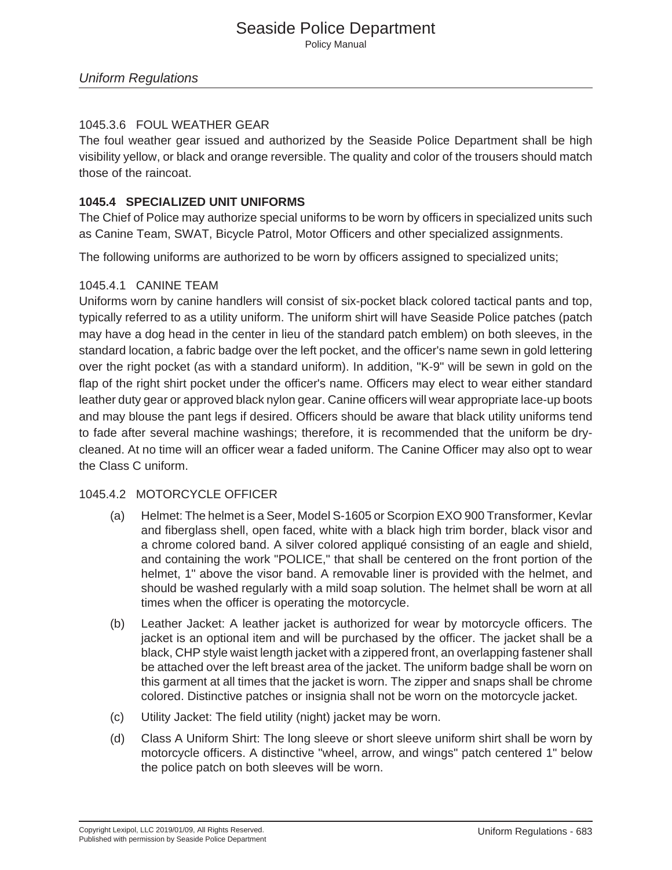## 1045.3.6 FOUL WEATHER GEAR

The foul weather gear issued and authorized by the Seaside Police Department shall be high visibility yellow, or black and orange reversible. The quality and color of the trousers should match those of the raincoat.

## **1045.4 SPECIALIZED UNIT UNIFORMS**

The Chief of Police may authorize special uniforms to be worn by officers in specialized units such as Canine Team, SWAT, Bicycle Patrol, Motor Officers and other specialized assignments.

The following uniforms are authorized to be worn by officers assigned to specialized units;

## 1045.4.1 CANINE TEAM

Uniforms worn by canine handlers will consist of six-pocket black colored tactical pants and top, typically referred to as a utility uniform. The uniform shirt will have Seaside Police patches (patch may have a dog head in the center in lieu of the standard patch emblem) on both sleeves, in the standard location, a fabric badge over the left pocket, and the officer's name sewn in gold lettering over the right pocket (as with a standard uniform). In addition, "K-9" will be sewn in gold on the flap of the right shirt pocket under the officer's name. Officers may elect to wear either standard leather duty gear or approved black nylon gear. Canine officers will wear appropriate lace-up boots and may blouse the pant legs if desired. Officers should be aware that black utility uniforms tend to fade after several machine washings; therefore, it is recommended that the uniform be drycleaned. At no time will an officer wear a faded uniform. The Canine Officer may also opt to wear the Class C uniform.

## 1045.4.2 MOTORCYCLE OFFICER

- (a) Helmet: The helmet is a Seer, Model S-1605 or Scorpion EXO 900 Transformer, Kevlar and fiberglass shell, open faced, white with a black high trim border, black visor and a chrome colored band. A silver colored appliqué consisting of an eagle and shield, and containing the work "POLICE," that shall be centered on the front portion of the helmet, 1" above the visor band. A removable liner is provided with the helmet, and should be washed regularly with a mild soap solution. The helmet shall be worn at all times when the officer is operating the motorcycle.
- (b) Leather Jacket: A leather jacket is authorized for wear by motorcycle officers. The jacket is an optional item and will be purchased by the officer. The jacket shall be a black, CHP style waist length jacket with a zippered front, an overlapping fastener shall be attached over the left breast area of the jacket. The uniform badge shall be worn on this garment at all times that the jacket is worn. The zipper and snaps shall be chrome colored. Distinctive patches or insignia shall not be worn on the motorcycle jacket.
- (c) Utility Jacket: The field utility (night) jacket may be worn.
- (d) Class A Uniform Shirt: The long sleeve or short sleeve uniform shirt shall be worn by motorcycle officers. A distinctive "wheel, arrow, and wings" patch centered 1" below the police patch on both sleeves will be worn.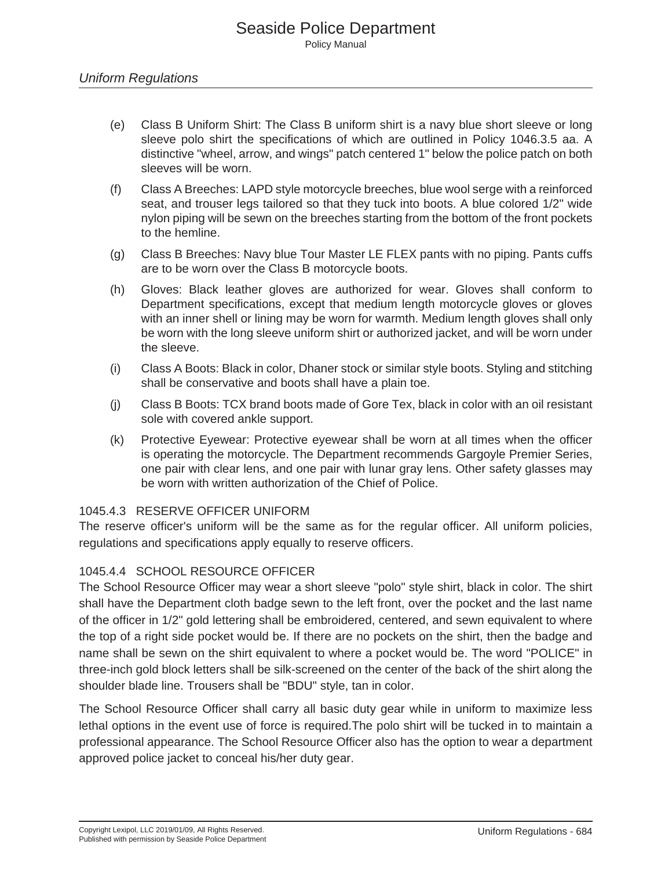- (e) Class B Uniform Shirt: The Class B uniform shirt is a navy blue short sleeve or long sleeve polo shirt the specifications of which are outlined in Policy 1046.3.5 aa. A distinctive "wheel, arrow, and wings" patch centered 1" below the police patch on both sleeves will be worn.
- (f) Class A Breeches: LAPD style motorcycle breeches, blue wool serge with a reinforced seat, and trouser legs tailored so that they tuck into boots. A blue colored 1/2" wide nylon piping will be sewn on the breeches starting from the bottom of the front pockets to the hemline.
- (g) Class B Breeches: Navy blue Tour Master LE FLEX pants with no piping. Pants cuffs are to be worn over the Class B motorcycle boots.
- (h) Gloves: Black leather gloves are authorized for wear. Gloves shall conform to Department specifications, except that medium length motorcycle gloves or gloves with an inner shell or lining may be worn for warmth. Medium length gloves shall only be worn with the long sleeve uniform shirt or authorized jacket, and will be worn under the sleeve.
- (i) Class A Boots: Black in color, Dhaner stock or similar style boots. Styling and stitching shall be conservative and boots shall have a plain toe.
- (j) Class B Boots: TCX brand boots made of Gore Tex, black in color with an oil resistant sole with covered ankle support.
- (k) Protective Eyewear: Protective eyewear shall be worn at all times when the officer is operating the motorcycle. The Department recommends Gargoyle Premier Series, one pair with clear lens, and one pair with lunar gray lens. Other safety glasses may be worn with written authorization of the Chief of Police.

#### 1045.4.3 RESERVE OFFICER UNIFORM

The reserve officer's uniform will be the same as for the regular officer. All uniform policies, regulations and specifications apply equally to reserve officers.

#### 1045.4.4 SCHOOL RESOURCE OFFICER

The School Resource Officer may wear a short sleeve "polo" style shirt, black in color. The shirt shall have the Department cloth badge sewn to the left front, over the pocket and the last name of the officer in 1/2" gold lettering shall be embroidered, centered, and sewn equivalent to where the top of a right side pocket would be. If there are no pockets on the shirt, then the badge and name shall be sewn on the shirt equivalent to where a pocket would be. The word "POLICE" in three-inch gold block letters shall be silk-screened on the center of the back of the shirt along the shoulder blade line. Trousers shall be "BDU" style, tan in color.

The School Resource Officer shall carry all basic duty gear while in uniform to maximize less lethal options in the event use of force is required.The polo shirt will be tucked in to maintain a professional appearance. The School Resource Officer also has the option to wear a department approved police jacket to conceal his/her duty gear.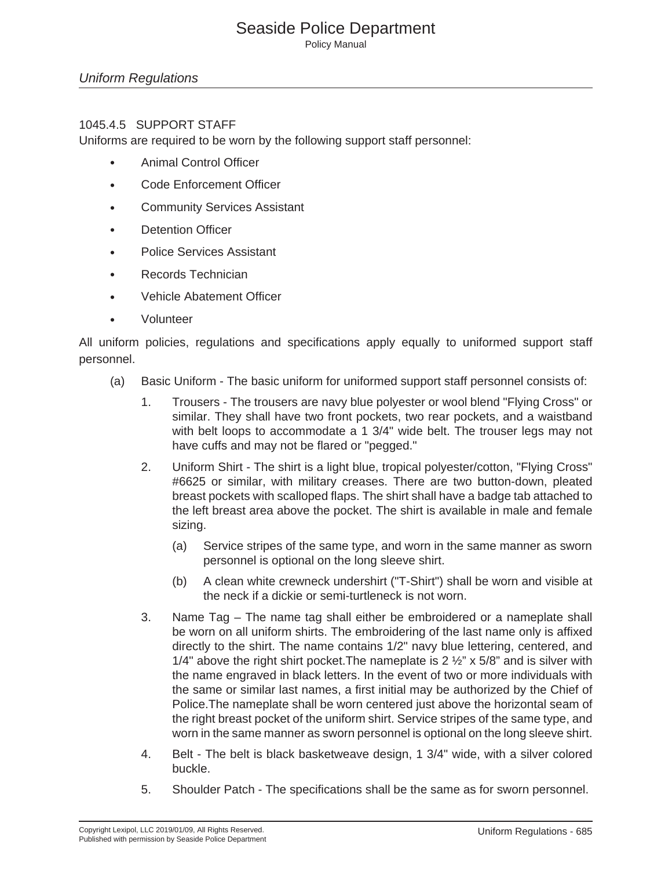#### 1045.4.5 SUPPORT STAFF

Uniforms are required to be worn by the following support staff personnel:

- Animal Control Officer
- Code Enforcement Officer
- Community Services Assistant
- Detention Officer
- Police Services Assistant
- Records Technician
- Vehicle Abatement Officer
- Volunteer

All uniform policies, regulations and specifications apply equally to uniformed support staff personnel.

- (a) Basic Uniform The basic uniform for uniformed support staff personnel consists of:
	- 1. Trousers The trousers are navy blue polyester or wool blend "Flying Cross" or similar. They shall have two front pockets, two rear pockets, and a waistband with belt loops to accommodate a 1 3/4" wide belt. The trouser legs may not have cuffs and may not be flared or "pegged."
	- 2. Uniform Shirt The shirt is a light blue, tropical polyester/cotton, "Flying Cross" #6625 or similar, with military creases. There are two button-down, pleated breast pockets with scalloped flaps. The shirt shall have a badge tab attached to the left breast area above the pocket. The shirt is available in male and female sizing.
		- (a) Service stripes of the same type, and worn in the same manner as sworn personnel is optional on the long sleeve shirt.
		- (b) A clean white crewneck undershirt ("T-Shirt") shall be worn and visible at the neck if a dickie or semi-turtleneck is not worn.
	- 3. Name Tag The name tag shall either be embroidered or a nameplate shall be worn on all uniform shirts. The embroidering of the last name only is affixed directly to the shirt. The name contains 1/2" navy blue lettering, centered, and 1/4" above the right shirt pocket. The nameplate is 2  $\frac{1}{2}$ " x 5/8" and is silver with the name engraved in black letters. In the event of two or more individuals with the same or similar last names, a first initial may be authorized by the Chief of Police.The nameplate shall be worn centered just above the horizontal seam of the right breast pocket of the uniform shirt. Service stripes of the same type, and worn in the same manner as sworn personnel is optional on the long sleeve shirt.
	- 4. Belt The belt is black basketweave design, 1 3/4" wide, with a silver colored buckle.
	- 5. Shoulder Patch The specifications shall be the same as for sworn personnel.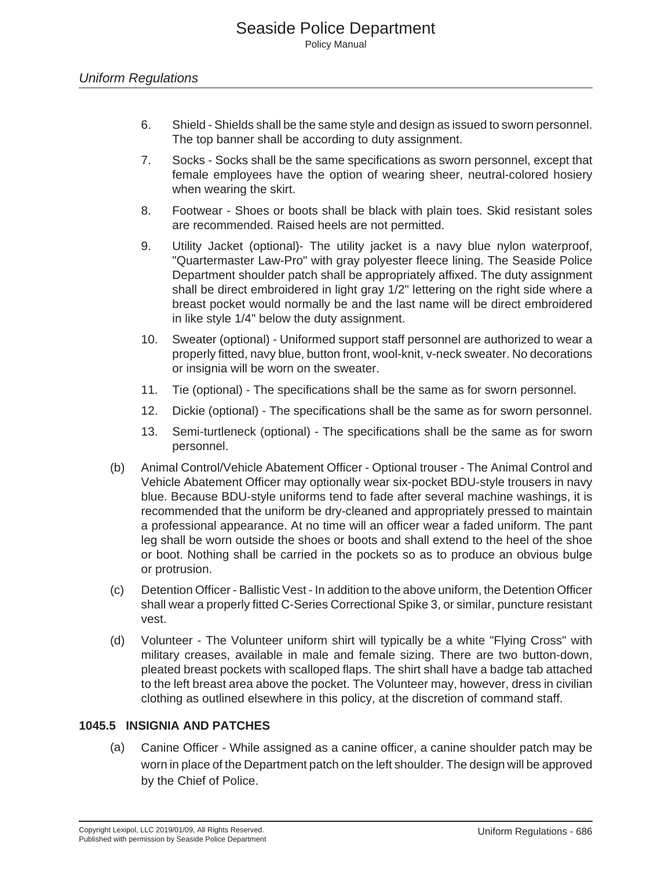- 6. Shield Shields shall be the same style and design as issued to sworn personnel. The top banner shall be according to duty assignment.
- 7. Socks Socks shall be the same specifications as sworn personnel, except that female employees have the option of wearing sheer, neutral-colored hosiery when wearing the skirt.
- 8. Footwear Shoes or boots shall be black with plain toes. Skid resistant soles are recommended. Raised heels are not permitted.
- 9. Utility Jacket (optional)- The utility jacket is a navy blue nylon waterproof, "Quartermaster Law-Pro" with gray polyester fleece lining. The Seaside Police Department shoulder patch shall be appropriately affixed. The duty assignment shall be direct embroidered in light gray 1/2" lettering on the right side where a breast pocket would normally be and the last name will be direct embroidered in like style 1/4" below the duty assignment.
- 10. Sweater (optional) Uniformed support staff personnel are authorized to wear a properly fitted, navy blue, button front, wool-knit, v-neck sweater. No decorations or insignia will be worn on the sweater.
- 11. Tie (optional) The specifications shall be the same as for sworn personnel.
- 12. Dickie (optional) The specifications shall be the same as for sworn personnel.
- 13. Semi-turtleneck (optional) The specifications shall be the same as for sworn personnel.
- (b) Animal Control/Vehicle Abatement Officer Optional trouser The Animal Control and Vehicle Abatement Officer may optionally wear six-pocket BDU-style trousers in navy blue. Because BDU-style uniforms tend to fade after several machine washings, it is recommended that the uniform be dry-cleaned and appropriately pressed to maintain a professional appearance. At no time will an officer wear a faded uniform. The pant leg shall be worn outside the shoes or boots and shall extend to the heel of the shoe or boot. Nothing shall be carried in the pockets so as to produce an obvious bulge or protrusion.
- (c) Detention Officer Ballistic Vest In addition to the above uniform, the Detention Officer shall wear a properly fitted C-Series Correctional Spike 3, or similar, puncture resistant vest.
- (d) Volunteer The Volunteer uniform shirt will typically be a white "Flying Cross" with military creases, available in male and female sizing. There are two button-down, pleated breast pockets with scalloped flaps. The shirt shall have a badge tab attached to the left breast area above the pocket. The Volunteer may, however, dress in civilian clothing as outlined elsewhere in this policy, at the discretion of command staff.

## **1045.5 INSIGNIA AND PATCHES**

(a) Canine Officer - While assigned as a canine officer, a canine shoulder patch may be worn in place of the Department patch on the left shoulder. The design will be approved by the Chief of Police.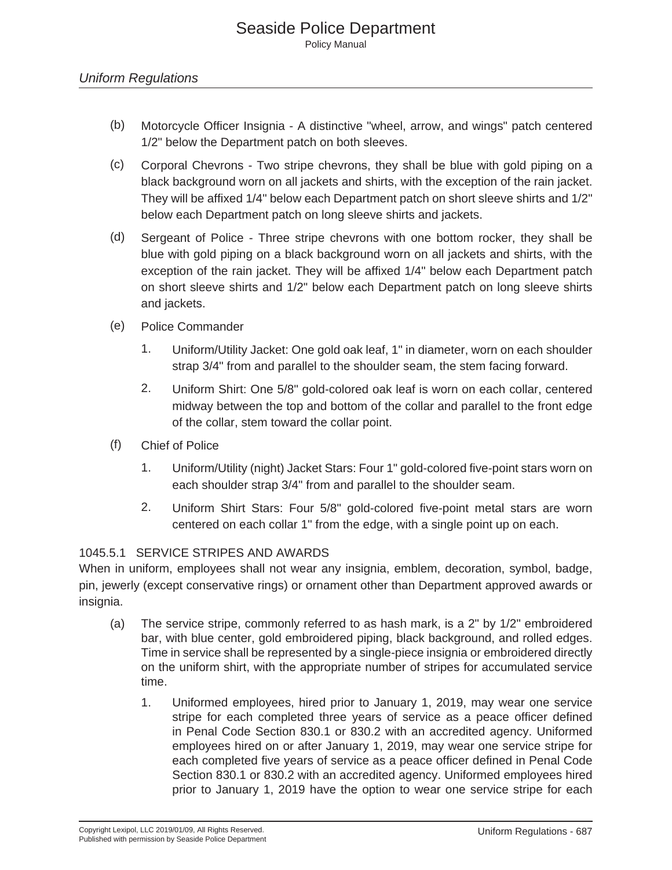- (b) Motorcycle Officer Insignia A distinctive "wheel, arrow, and wings" patch centered 1/2" below the Department patch on both sleeves.
- (c) Corporal Chevrons Two stripe chevrons, they shall be blue with gold piping on a black background worn on all jackets and shirts, with the exception of the rain jacket. They will be affixed 1/4" below each Department patch on short sleeve shirts and 1/2" below each Department patch on long sleeve shirts and jackets.
- (d) Sergeant of Police Three stripe chevrons with one bottom rocker, they shall be blue with gold piping on a black background worn on all jackets and shirts, with the exception of the rain jacket. They will be affixed 1/4" below each Department patch on short sleeve shirts and 1/2" below each Department patch on long sleeve shirts and jackets.
- (e) Police Commander
	- 1. Uniform/Utility Jacket: One gold oak leaf, 1" in diameter, worn on each shoulder strap 3/4" from and parallel to the shoulder seam, the stem facing forward.
	- 2. Uniform Shirt: One 5/8" gold-colored oak leaf is worn on each collar, centered midway between the top and bottom of the collar and parallel to the front edge of the collar, stem toward the collar point.
- (f) Chief of Police
	- 1. Uniform/Utility (night) Jacket Stars: Four 1" gold-colored five-point stars worn on each shoulder strap 3/4" from and parallel to the shoulder seam.
	- 2. Uniform Shirt Stars: Four 5/8" gold-colored five-point metal stars are worn centered on each collar 1" from the edge, with a single point up on each.

## 1045.5.1 SERVICE STRIPES AND AWARDS

When in uniform, employees shall not wear any insignia, emblem, decoration, symbol, badge, pin, jewerly (except conservative rings) or ornament other than Department approved awards or insignia.

- (a) The service stripe, commonly referred to as hash mark, is a 2" by 1/2" embroidered bar, with blue center, gold embroidered piping, black background, and rolled edges. Time in service shall be represented by a single-piece insignia or embroidered directly on the uniform shirt, with the appropriate number of stripes for accumulated service time.
	- 1. Uniformed employees, hired prior to January 1, 2019, may wear one service stripe for each completed three years of service as a peace officer defined in Penal Code Section 830.1 or 830.2 with an accredited agency. Uniformed employees hired on or after January 1, 2019, may wear one service stripe for each completed five years of service as a peace officer defined in Penal Code Section 830.1 or 830.2 with an accredited agency. Uniformed employees hired prior to January 1, 2019 have the option to wear one service stripe for each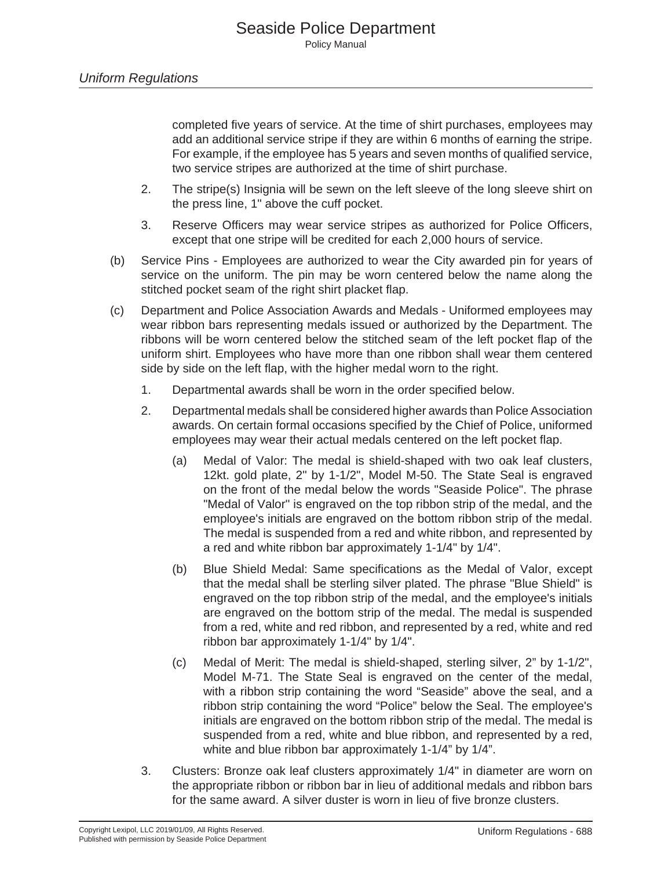completed five years of service. At the time of shirt purchases, employees may add an additional service stripe if they are within 6 months of earning the stripe. For example, if the employee has 5 years and seven months of qualified service, two service stripes are authorized at the time of shirt purchase.

- 2. The stripe(s) Insignia will be sewn on the left sleeve of the long sleeve shirt on the press line, 1" above the cuff pocket.
- 3. Reserve Officers may wear service stripes as authorized for Police Officers, except that one stripe will be credited for each 2,000 hours of service.
- (b) Service Pins Employees are authorized to wear the City awarded pin for years of service on the uniform. The pin may be worn centered below the name along the stitched pocket seam of the right shirt placket flap.
- (c) Department and Police Association Awards and Medals Uniformed employees may wear ribbon bars representing medals issued or authorized by the Department. The ribbons will be worn centered below the stitched seam of the left pocket flap of the uniform shirt. Employees who have more than one ribbon shall wear them centered side by side on the left flap, with the higher medal worn to the right.
	- 1. Departmental awards shall be worn in the order specified below.
	- 2. Departmental medals shall be considered higher awards than Police Association awards. On certain formal occasions specified by the Chief of Police, uniformed employees may wear their actual medals centered on the left pocket flap.
		- (a) Medal of Valor: The medal is shield-shaped with two oak leaf clusters, 12kt. gold plate, 2" by 1-1/2", Model M-50. The State Seal is engraved on the front of the medal below the words "Seaside Police". The phrase "Medal of Valor'' is engraved on the top ribbon strip of the medal, and the employee's initials are engraved on the bottom ribbon strip of the medal. The medal is suspended from a red and white ribbon, and represented by a red and white ribbon bar approximately 1-1/4" by 1/4".
		- (b) Blue Shield Medal: Same specifications as the Medal of Valor, except that the medal shall be sterling silver plated. The phrase "Blue Shield" is engraved on the top ribbon strip of the medal, and the employee's initials are engraved on the bottom strip of the medal. The medal is suspended from a red, white and red ribbon, and represented by a red, white and red ribbon bar approximately 1-1/4" by 1/4".
		- (c) Medal of Merit: The medal is shield-shaped, sterling silver, 2" by 1-1/2", Model M-71. The State Seal is engraved on the center of the medal, with a ribbon strip containing the word "Seaside" above the seal, and a ribbon strip containing the word "Police" below the Seal. The employee's initials are engraved on the bottom ribbon strip of the medal. The medal is suspended from a red, white and blue ribbon, and represented by a red, white and blue ribbon bar approximately 1-1/4" by 1/4".
	- 3. Clusters: Bronze oak leaf clusters approximately 1/4" in diameter are worn on the appropriate ribbon or ribbon bar in lieu of additional medals and ribbon bars for the same award. A silver duster is worn in lieu of five bronze clusters.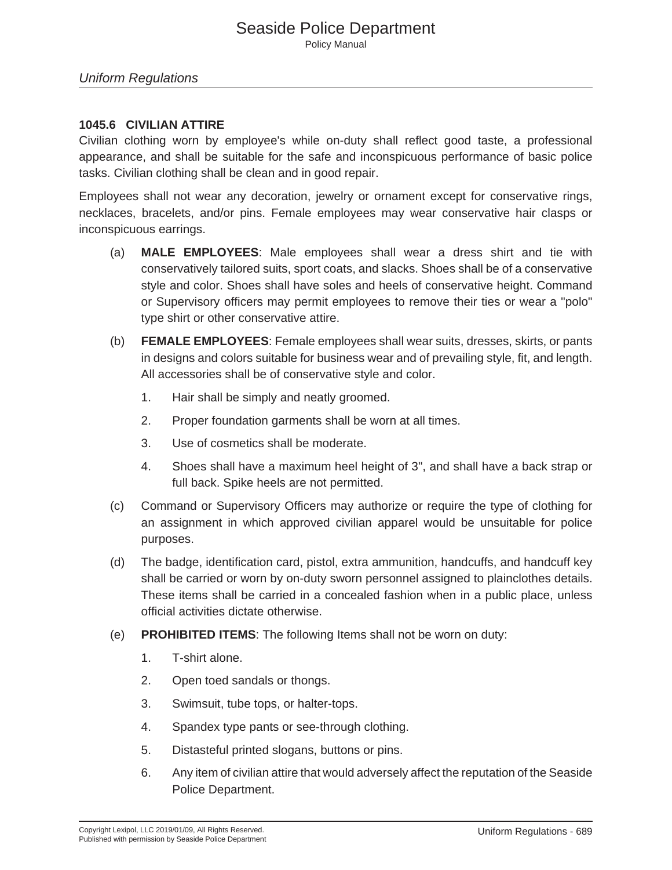## Seaside Police Department Policy Manual

### *Uniform Regulations*

## **1045.6 CIVILIAN ATTIRE**

Civilian clothing worn by employee's while on-duty shall reflect good taste, a professional appearance, and shall be suitable for the safe and inconspicuous performance of basic police tasks. Civilian clothing shall be clean and in good repair.

Employees shall not wear any decoration, jewelry or ornament except for conservative rings, necklaces, bracelets, and/or pins. Female employees may wear conservative hair clasps or inconspicuous earrings.

- (a) **MALE EMPLOYEES**: Male employees shall wear a dress shirt and tie with conservatively tailored suits, sport coats, and slacks. Shoes shall be of a conservative style and color. Shoes shall have soles and heels of conservative height. Command or Supervisory officers may permit employees to remove their ties or wear a "polo" type shirt or other conservative attire.
- (b) **FEMALE EMPLOYEES**: Female employees shall wear suits, dresses, skirts, or pants in designs and colors suitable for business wear and of prevailing style, fit, and length. All accessories shall be of conservative style and color.
	- 1. Hair shall be simply and neatly groomed.
	- 2. Proper foundation garments shall be worn at all times.
	- 3. Use of cosmetics shall be moderate.
	- 4. Shoes shall have a maximum heel height of 3", and shall have a back strap or full back. Spike heels are not permitted.
- (c) Command or Supervisory Officers may authorize or require the type of clothing for an assignment in which approved civilian apparel would be unsuitable for police purposes.
- (d) The badge, identification card, pistol, extra ammunition, handcuffs, and handcuff key shall be carried or worn by on-duty sworn personnel assigned to plainclothes details. These items shall be carried in a concealed fashion when in a public place, unless official activities dictate otherwise.
- (e) **PROHIBITED ITEMS**: The following Items shall not be worn on duty:
	- 1. T-shirt alone.
	- 2. Open toed sandals or thongs.
	- 3. Swimsuit, tube tops, or halter-tops.
	- 4. Spandex type pants or see-through clothing.
	- 5. Distasteful printed slogans, buttons or pins.
	- 6. Any item of civilian attire that would adversely affect the reputation of the Seaside Police Department.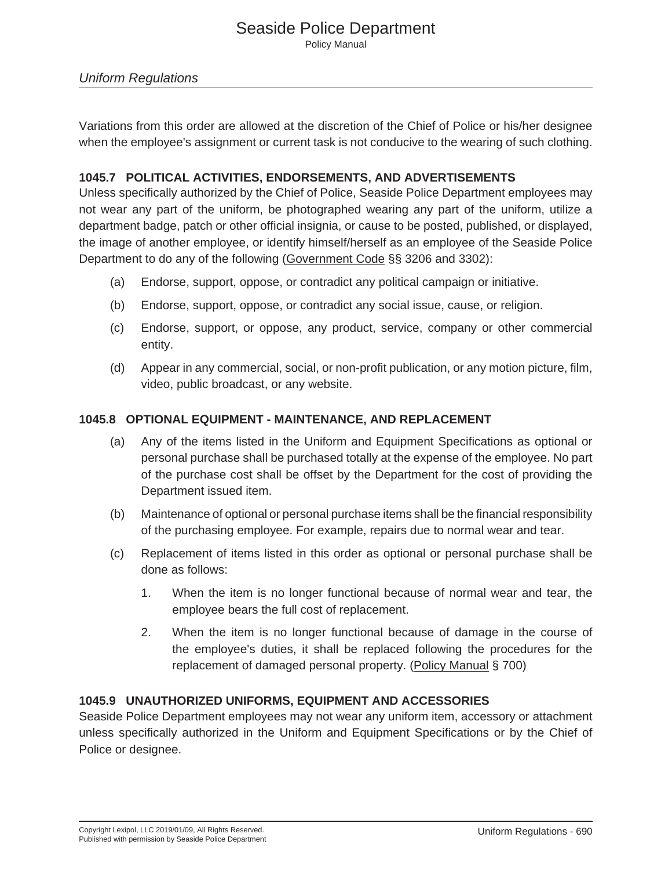## Seaside Police Department Policy Manual

## *Uniform Regulations*

Variations from this order are allowed at the discretion of the Chief of Police or his/her designee when the employee's assignment or current task is not conducive to the wearing of such clothing.

#### **1045.7 POLITICAL ACTIVITIES, ENDORSEMENTS, AND ADVERTISEMENTS**

Unless specifically authorized by the Chief of Police, Seaside Police Department employees may not wear any part of the uniform, be photographed wearing any part of the uniform, utilize a department badge, patch or other official insignia, or cause to be posted, published, or displayed, the image of another employee, or identify himself/herself as an employee of the Seaside Police Department to do any of the following (Government Code §§ 3206 and 3302):

- (a) Endorse, support, oppose, or contradict any political campaign or initiative.
- (b) Endorse, support, oppose, or contradict any social issue, cause, or religion.
- (c) Endorse, support, or oppose, any product, service, company or other commercial entity.
- (d) Appear in any commercial, social, or non-profit publication, or any motion picture, film, video, public broadcast, or any website.

#### **1045.8 OPTIONAL EQUIPMENT - MAINTENANCE, AND REPLACEMENT**

- (a) Any of the items listed in the Uniform and Equipment Specifications as optional or personal purchase shall be purchased totally at the expense of the employee. No part of the purchase cost shall be offset by the Department for the cost of providing the Department issued item.
- (b) Maintenance of optional or personal purchase items shall be the financial responsibility of the purchasing employee. For example, repairs due to normal wear and tear.
- (c) Replacement of items listed in this order as optional or personal purchase shall be done as follows:
	- 1. When the item is no longer functional because of normal wear and tear, the employee bears the full cost of replacement.
	- 2. When the item is no longer functional because of damage in the course of the employee's duties, it shall be replaced following the procedures for the replacement of damaged personal property. (Policy Manual § 700)

## **1045.9 UNAUTHORIZED UNIFORMS, EQUIPMENT AND ACCESSORIES**

Seaside Police Department employees may not wear any uniform item, accessory or attachment unless specifically authorized in the Uniform and Equipment Specifications or by the Chief of Police or designee.